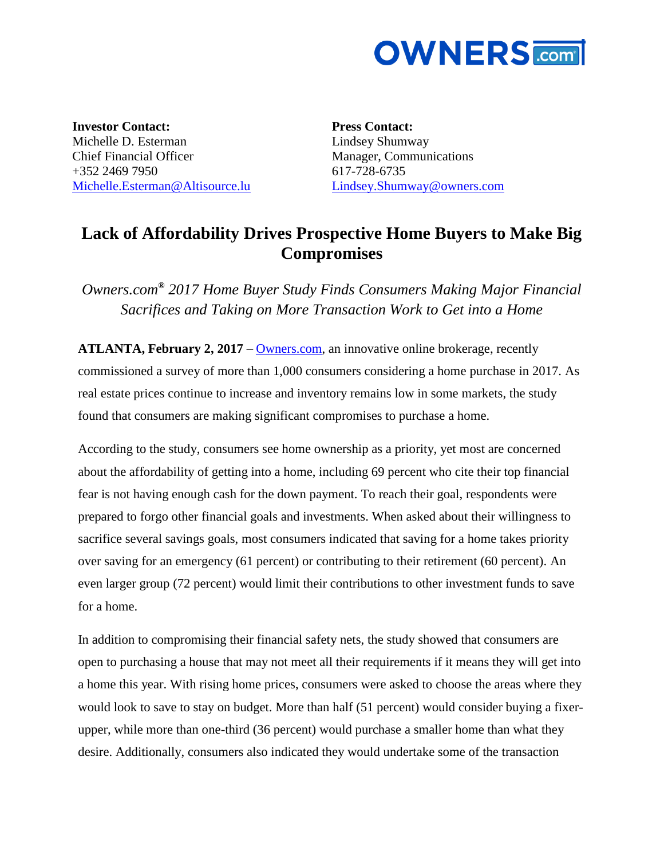

**Investor Contact:** Michelle D. Esterman Chief Financial Officer +352 2469 7950 [Michelle.Esterman@Altisource.lu](mailto:Michelle.Esterman@Altisource.lu) **Press Contact:** Lindsey Shumway Manager, Communications 617-728-6735 [Lindsey.Shumway@owners.com](mailto:Lisen.Syp@altisource.com)

## **Lack of Affordability Drives Prospective Home Buyers to Make Big Compromises**

*Owners.com***®** *2017 Home Buyer Study Finds Consumers Making Major Financial Sacrifices and Taking on More Transaction Work to Get into a Home* 

**ATLANTA, February 2, 2017** – [Owners.com,](https://www.owners.com/?utm_campaign=OwnersHomeBuyerSurvey&utm_source=PR&utm_medium=PR&utm_content=body) an innovative online brokerage, recently commissioned a survey of more than 1,000 consumers considering a home purchase in 2017. As real estate prices continue to increase and inventory remains low in some markets, the study found that consumers are making significant compromises to purchase a home.

According to the study, consumers see home ownership as a priority, yet most are concerned about the affordability of getting into a home, including 69 percent who cite their top financial fear is not having enough cash for the down payment. To reach their goal, respondents were prepared to forgo other financial goals and investments. When asked about their willingness to sacrifice several savings goals, most consumers indicated that saving for a home takes priority over saving for an emergency (61 percent) or contributing to their retirement (60 percent). An even larger group (72 percent) would limit their contributions to other investment funds to save for a home.

In addition to compromising their financial safety nets, the study showed that consumers are open to purchasing a house that may not meet all their requirements if it means they will get into a home this year. With rising home prices, consumers were asked to choose the areas where they would look to save to stay on budget. More than half (51 percent) would consider buying a fixerupper, while more than one-third (36 percent) would purchase a smaller home than what they desire. Additionally, consumers also indicated they would undertake some of the transaction